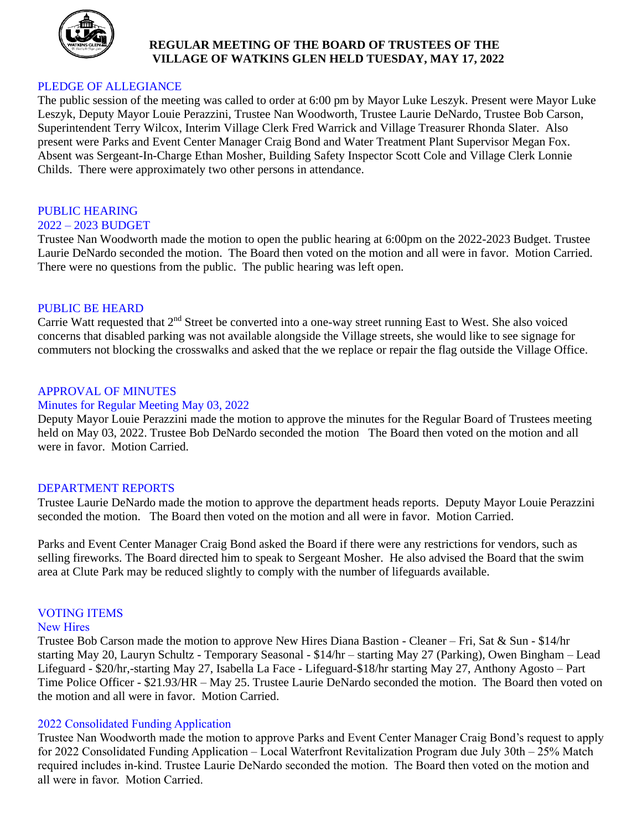

## **REGULAR MEETING OF THE BOARD OF TRUSTEES OF THE VILLAGE OF WATKINS GLEN HELD TUESDAY, MAY 17, 2022**

## PLEDGE OF ALLEGIANCE

The public session of the meeting was called to order at 6:00 pm by Mayor Luke Leszyk. Present were Mayor Luke Leszyk, Deputy Mayor Louie Perazzini, Trustee Nan Woodworth, Trustee Laurie DeNardo, Trustee Bob Carson, Superintendent Terry Wilcox, Interim Village Clerk Fred Warrick and Village Treasurer Rhonda Slater. Also present were Parks and Event Center Manager Craig Bond and Water Treatment Plant Supervisor Megan Fox. Absent was Sergeant-In-Charge Ethan Mosher, Building Safety Inspector Scott Cole and Village Clerk Lonnie Childs. There were approximately two other persons in attendance.

## PUBLIC HEARING

## 2022 – 2023 BUDGET

Trustee Nan Woodworth made the motion to open the public hearing at 6:00pm on the 2022-2023 Budget. Trustee Laurie DeNardo seconded the motion. The Board then voted on the motion and all were in favor. Motion Carried. There were no questions from the public. The public hearing was left open.

## PUBLIC BE HEARD

Carrie Watt requested that 2<sup>nd</sup> Street be converted into a one-way street running East to West. She also voiced concerns that disabled parking was not available alongside the Village streets, she would like to see signage for commuters not blocking the crosswalks and asked that the we replace or repair the flag outside the Village Office.

## APPROVAL OF MINUTES

#### Minutes for Regular Meeting May 03, 2022

Deputy Mayor Louie Perazzini made the motion to approve the minutes for the Regular Board of Trustees meeting held on May 03, 2022. Trustee Bob DeNardo seconded the motion The Board then voted on the motion and all were in favor. Motion Carried.

#### DEPARTMENT REPORTS

Trustee Laurie DeNardo made the motion to approve the department heads reports. Deputy Mayor Louie Perazzini seconded the motion. The Board then voted on the motion and all were in favor. Motion Carried.

Parks and Event Center Manager Craig Bond asked the Board if there were any restrictions for vendors, such as selling fireworks. The Board directed him to speak to Sergeant Mosher. He also advised the Board that the swim area at Clute Park may be reduced slightly to comply with the number of lifeguards available.

## VOTING ITEMS

#### New Hires

Trustee Bob Carson made the motion to approve New Hires Diana Bastion - Cleaner – Fri, Sat & Sun - \$14/hr starting May 20, Lauryn Schultz - Temporary Seasonal - \$14/hr – starting May 27 (Parking), Owen Bingham – Lead Lifeguard - \$20/hr,-starting May 27, Isabella La Face - Lifeguard-\$18/hr starting May 27, Anthony Agosto – Part Time Police Officer - \$21.93/HR – May 25. Trustee Laurie DeNardo seconded the motion. The Board then voted on the motion and all were in favor. Motion Carried.

## 2022 Consolidated Funding Application

Trustee Nan Woodworth made the motion to approve Parks and Event Center Manager Craig Bond's request to apply for 2022 Consolidated Funding Application – Local Waterfront Revitalization Program due July 30th – 25% Match required includes in-kind. Trustee Laurie DeNardo seconded the motion. The Board then voted on the motion and all were in favor. Motion Carried.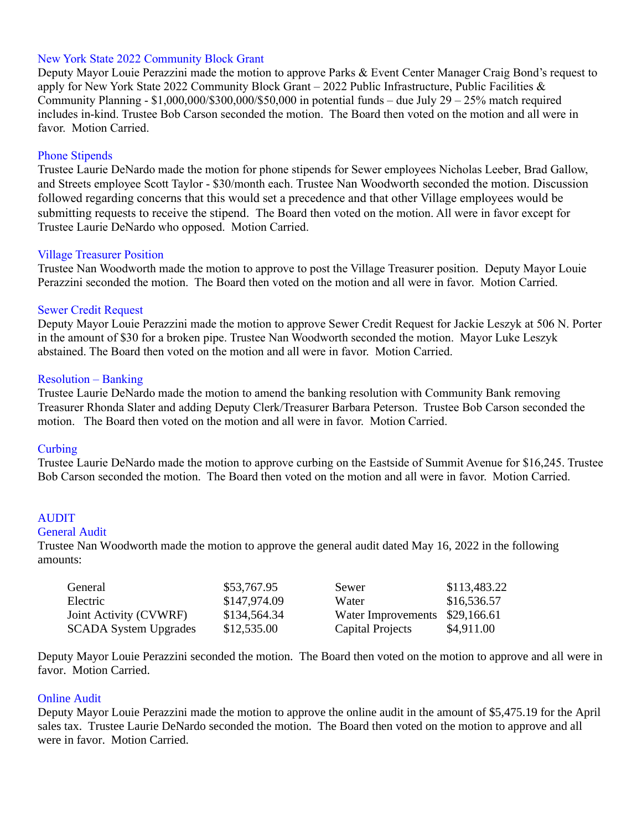## New York State 2022 Community Block Grant

Deputy Mayor Louie Perazzini made the motion to approve Parks & Event Center Manager Craig Bond's request to apply for New York State 2022 Community Block Grant – 2022 Public Infrastructure, Public Facilities & Community Planning -  $$1,000,000/$300,000/$50,000$  in potential funds – due July 29 – 25% match required includes in-kind. Trustee Bob Carson seconded the motion. The Board then voted on the motion and all were in favor. Motion Carried.

### Phone Stipends

Trustee Laurie DeNardo made the motion for phone stipends for Sewer employees Nicholas Leeber, Brad Gallow, and Streets employee Scott Taylor - \$30/month each. Trustee Nan Woodworth seconded the motion. Discussion followed regarding concerns that this would set a precedence and that other Village employees would be submitting requests to receive the stipend. The Board then voted on the motion. All were in favor except for Trustee Laurie DeNardo who opposed. Motion Carried.

#### Village Treasurer Position

Trustee Nan Woodworth made the motion to approve to post the Village Treasurer position. Deputy Mayor Louie Perazzini seconded the motion. The Board then voted on the motion and all were in favor. Motion Carried.

#### Sewer Credit Request

Deputy Mayor Louie Perazzini made the motion to approve Sewer Credit Request for Jackie Leszyk at 506 N. Porter in the amount of \$30 for a broken pipe. Trustee Nan Woodworth seconded the motion. Mayor Luke Leszyk abstained. The Board then voted on the motion and all were in favor. Motion Carried.

#### Resolution – Banking

Trustee Laurie DeNardo made the motion to amend the banking resolution with Community Bank removing Treasurer Rhonda Slater and adding Deputy Clerk/Treasurer Barbara Peterson. Trustee Bob Carson seconded the motion. The Board then voted on the motion and all were in favor. Motion Carried.

#### **Curbing**

Trustee Laurie DeNardo made the motion to approve curbing on the Eastside of Summit Avenue for \$16,245. Trustee Bob Carson seconded the motion. The Board then voted on the motion and all were in favor. Motion Carried.

#### AUDIT

#### General Audit

Trustee Nan Woodworth made the motion to approve the general audit dated May 16, 2022 in the following amounts:

| General                      | \$53,767.95  | Sewer              | \$113,483.22 |
|------------------------------|--------------|--------------------|--------------|
| Electric                     | \$147,974.09 | Water              | \$16,536.57  |
| Joint Activity (CVWRF)       | \$134,564.34 | Water Improvements | \$29,166.61  |
| <b>SCADA System Upgrades</b> | \$12,535.00  | Capital Projects   | \$4,911.00   |

Deputy Mayor Louie Perazzini seconded the motion. The Board then voted on the motion to approve and all were in favor. Motion Carried.

#### Online Audit

Deputy Mayor Louie Perazzini made the motion to approve the online audit in the amount of \$5,475.19 for the April sales tax. Trustee Laurie DeNardo seconded the motion. The Board then voted on the motion to approve and all were in favor. Motion Carried.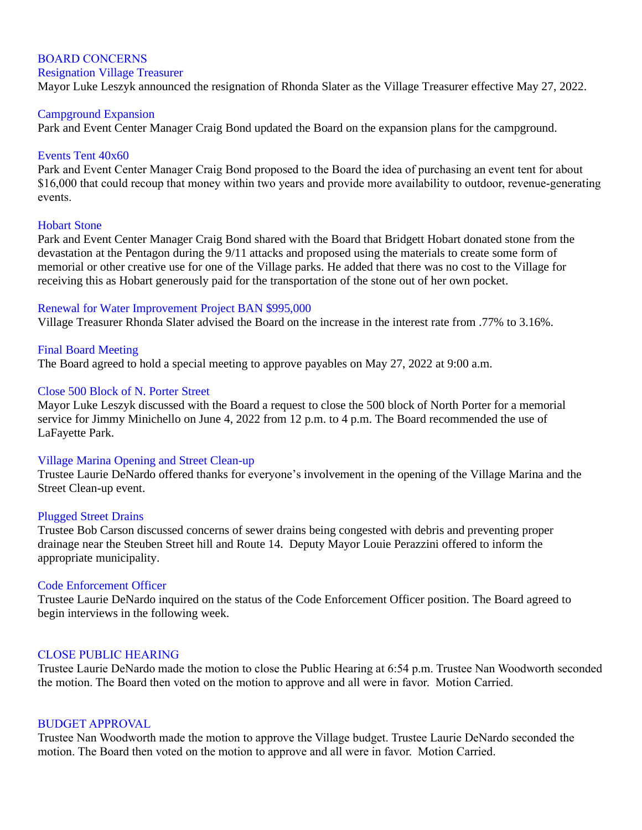# BOARD CONCERNS

#### Resignation Village Treasurer

Mayor Luke Leszyk announced the resignation of Rhonda Slater as the Village Treasurer effective May 27, 2022.

#### Campground Expansion

Park and Event Center Manager Craig Bond updated the Board on the expansion plans for the campground.

#### Events Tent 40x60

Park and Event Center Manager Craig Bond proposed to the Board the idea of purchasing an event tent for about \$16,000 that could recoup that money within two years and provide more availability to outdoor, revenue-generating events.

#### Hobart Stone

Park and Event Center Manager Craig Bond shared with the Board that Bridgett Hobart donated stone from the devastation at the Pentagon during the 9/11 attacks and proposed using the materials to create some form of memorial or other creative use for one of the Village parks. He added that there was no cost to the Village for receiving this as Hobart generously paid for the transportation of the stone out of her own pocket.

#### Renewal for Water Improvement Project BAN \$995,000

Village Treasurer Rhonda Slater advised the Board on the increase in the interest rate from .77% to 3.16%.

## Final Board Meeting

The Board agreed to hold a special meeting to approve payables on May 27, 2022 at 9:00 a.m.

#### Close 500 Block of N. Porter Street

Mayor Luke Leszyk discussed with the Board a request to close the 500 block of North Porter for a memorial service for Jimmy Minichello on June 4, 2022 from 12 p.m. to 4 p.m. The Board recommended the use of LaFayette Park.

#### Village Marina Opening and Street Clean-up

Trustee Laurie DeNardo offered thanks for everyone's involvement in the opening of the Village Marina and the Street Clean-up event.

#### Plugged Street Drains

Trustee Bob Carson discussed concerns of sewer drains being congested with debris and preventing proper drainage near the Steuben Street hill and Route 14. Deputy Mayor Louie Perazzini offered to inform the appropriate municipality.

#### Code Enforcement Officer

Trustee Laurie DeNardo inquired on the status of the Code Enforcement Officer position. The Board agreed to begin interviews in the following week.

#### CLOSE PUBLIC HEARING

Trustee Laurie DeNardo made the motion to close the Public Hearing at 6:54 p.m. Trustee Nan Woodworth seconded the motion. The Board then voted on the motion to approve and all were in favor. Motion Carried.

#### BUDGET APPROVAL

Trustee Nan Woodworth made the motion to approve the Village budget. Trustee Laurie DeNardo seconded the motion. The Board then voted on the motion to approve and all were in favor. Motion Carried.